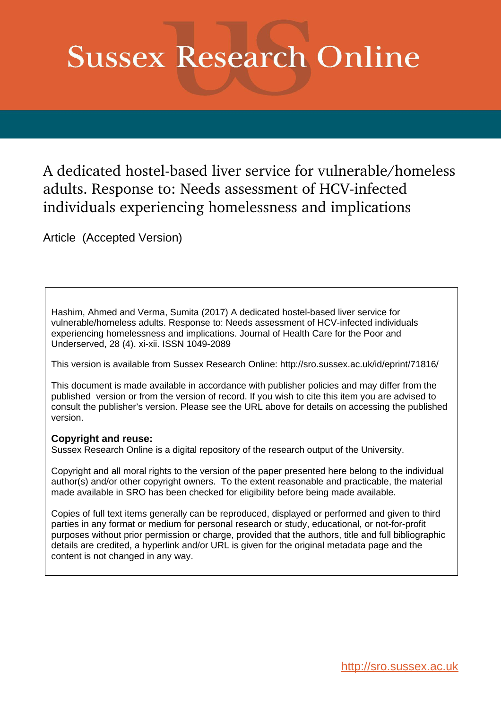# **Sussex Research Online**

A dedicated hostel-based liver service for vulnerable/homeless adults. Response to: Needs assessment of HCV-infected individuals experiencing homelessness and implications

Article (Accepted Version)

Hashim, Ahmed and Verma, Sumita (2017) A dedicated hostel-based liver service for vulnerable/homeless adults. Response to: Needs assessment of HCV-infected individuals experiencing homelessness and implications. Journal of Health Care for the Poor and Underserved, 28 (4). xi-xii. ISSN 1049-2089

This version is available from Sussex Research Online: http://sro.sussex.ac.uk/id/eprint/71816/

This document is made available in accordance with publisher policies and may differ from the published version or from the version of record. If you wish to cite this item you are advised to consult the publisher's version. Please see the URL above for details on accessing the published version.

## **Copyright and reuse:**

Sussex Research Online is a digital repository of the research output of the University.

Copyright and all moral rights to the version of the paper presented here belong to the individual author(s) and/or other copyright owners. To the extent reasonable and practicable, the material made available in SRO has been checked for eligibility before being made available.

Copies of full text items generally can be reproduced, displayed or performed and given to third parties in any format or medium for personal research or study, educational, or not-for-profit purposes without prior permission or charge, provided that the authors, title and full bibliographic details are credited, a hyperlink and/or URL is given for the original metadata page and the content is not changed in any way.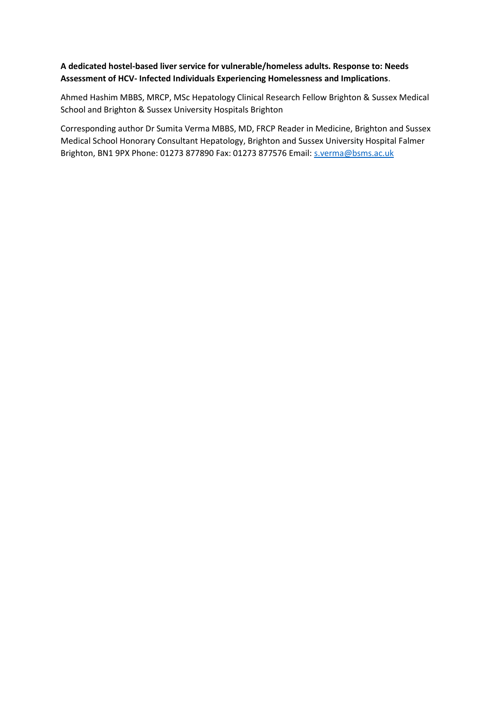### **A dedicated hostel-based liver service for vulnerable/homeless adults. Response to: Needs Assessment of HCV- Infected Individuals Experiencing Homelessness and Implications**.

Ahmed Hashim MBBS, MRCP, MSc Hepatology Clinical Research Fellow Brighton & Sussex Medical School and Brighton & Sussex University Hospitals Brighton

Corresponding author Dr Sumita Verma MBBS, MD, FRCP Reader in Medicine, Brighton and Sussex Medical School Honorary Consultant Hepatology, Brighton and Sussex University Hospital Falmer Brighton, BN1 9PX Phone: 01273 877890 Fax: 01273 877576 Email: [s.verma@bsms.ac.uk](mailto:s.verma@bsms.ac.uk)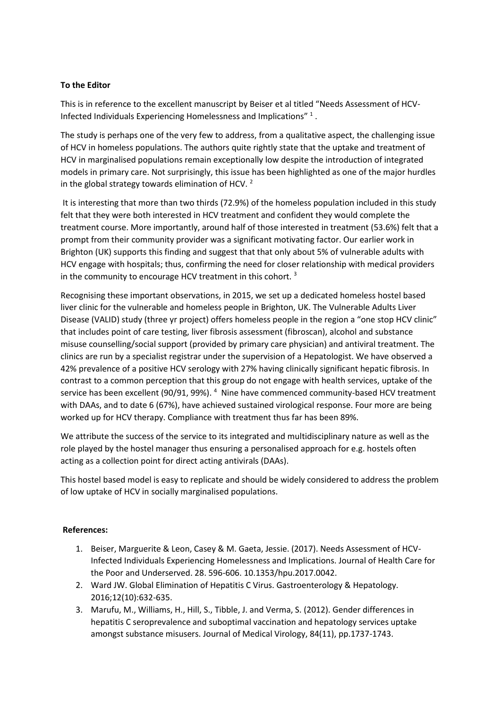#### **To the Editor**

This is in reference to the excellent manuscript by Beiser et al titled "Needs Assessment of HCV-Infected Individuals Experiencing Homelessness and Implications"<sup>1</sup>.

The study is perhaps one of the very few to address, from a qualitative aspect, the challenging issue of HCV in homeless populations. The authors quite rightly state that the uptake and treatment of HCV in marginalised populations remain exceptionally low despite the introduction of integrated models in primary care. Not surprisingly, this issue has been highlighted as one of the major hurdles in the global strategy towards elimination of HCV.  $2^{\circ}$ 

It is interesting that more than two thirds (72.9%) of the homeless population included in this study felt that they were both interested in HCV treatment and confident they would complete the treatment course. More importantly, around half of those interested in treatment (53.6%) felt that a prompt from their community provider was a significant motivating factor. Our earlier work in Brighton (UK) supports this finding and suggest that that only about 5% of vulnerable adults with HCV engage with hospitals; thus, confirming the need for closer relationship with medical providers in the community to encourage HCV treatment in this cohort.<sup>3</sup>

Recognising these important observations, in 2015, we set up a dedicated homeless hostel based liver clinic for the vulnerable and homeless people in Brighton, UK. The Vulnerable Adults Liver Disease (VALID) study (three yr project) offers homeless people in the region a "one stop HCV clinic" that includes point of care testing, liver fibrosis assessment (fibroscan), alcohol and substance misuse counselling/social support (provided by primary care physician) and antiviral treatment. The clinics are run by a specialist registrar under the supervision of a Hepatologist. We have observed a 42% prevalence of a positive HCV serology with 27% having clinically significant hepatic fibrosis. In contrast to a common perception that this group do not engage with health services, uptake of the service has been excellent (90/91, 99%).<sup>4</sup> Nine have commenced community-based HCV treatment with DAAs, and to date 6 (67%), have achieved sustained virological response. Four more are being worked up for HCV therapy. Compliance with treatment thus far has been 89%.

We attribute the success of the service to its integrated and multidisciplinary nature as well as the role played by the hostel manager thus ensuring a personalised approach for e.g. hostels often acting as a collection point for direct acting antivirals (DAAs).

This hostel based model is easy to replicate and should be widely considered to address the problem of low uptake of HCV in socially marginalised populations.

#### **References:**

- 1. Beiser, Marguerite & Leon, Casey & M. Gaeta, Jessie. (2017). Needs Assessment of HCV-Infected Individuals Experiencing Homelessness and Implications. Journal of Health Care for the Poor and Underserved. 28. 596-606. 10.1353/hpu.2017.0042.
- 2. Ward JW. Global Elimination of Hepatitis C Virus. Gastroenterology & Hepatology. 2016;12(10):632-635.
- 3. Marufu, M., Williams, H., Hill, S., Tibble, J. and Verma, S. (2012). Gender differences in hepatitis C seroprevalence and suboptimal vaccination and hepatology services uptake amongst substance misusers. Journal of Medical Virology, 84(11), pp.1737-1743.